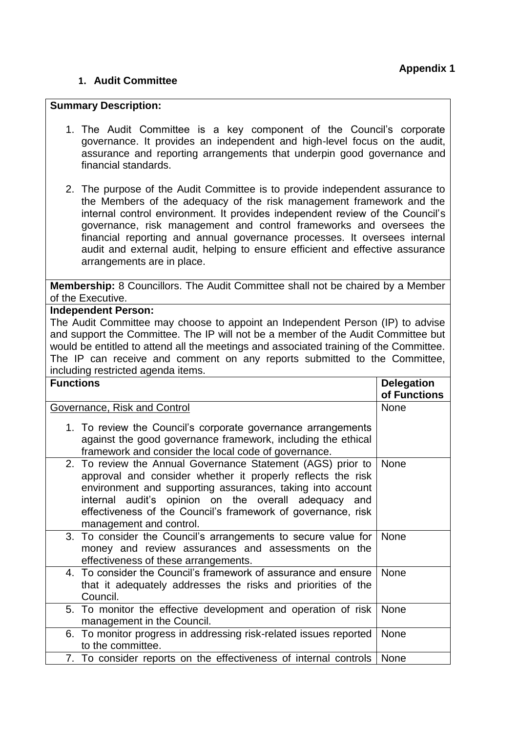## **1. Audit Committee**

## **Summary Description:**

- 1. The Audit Committee is a key component of the Council's corporate governance. It provides an independent and high-level focus on the audit, assurance and reporting arrangements that underpin good governance and financial standards.
- 2. The purpose of the Audit Committee is to provide independent assurance to the Members of the adequacy of the risk management framework and the internal control environment. It provides independent review of the Council's governance, risk management and control frameworks and oversees the financial reporting and annual governance processes. It oversees internal audit and external audit, helping to ensure efficient and effective assurance arrangements are in place.

**Membership:** 8 Councillors. The Audit Committee shall not be chaired by a Member of the Executive.

## **Independent Person:**

The Audit Committee may choose to appoint an Independent Person (IP) to advise and support the Committee. The IP will not be a member of the Audit Committee but would be entitled to attend all the meetings and associated training of the Committee. The IP can receive and comment on any reports submitted to the Committee, including restricted agenda items.

| <b>Functions</b>                                                                                                                                                                                                                                                                                                                            | <b>Delegation</b><br>of Functions |
|---------------------------------------------------------------------------------------------------------------------------------------------------------------------------------------------------------------------------------------------------------------------------------------------------------------------------------------------|-----------------------------------|
| Governance, Risk and Control                                                                                                                                                                                                                                                                                                                | <b>None</b>                       |
| 1. To review the Council's corporate governance arrangements<br>against the good governance framework, including the ethical<br>framework and consider the local code of governance.                                                                                                                                                        |                                   |
| 2. To review the Annual Governance Statement (AGS) prior to<br>approval and consider whether it properly reflects the risk<br>environment and supporting assurances, taking into account<br>internal audit's opinion on the overall adequacy and<br>effectiveness of the Council's framework of governance, risk<br>management and control. | <b>None</b>                       |
| 3. To consider the Council's arrangements to secure value for<br>money and review assurances and assessments on the<br>effectiveness of these arrangements.                                                                                                                                                                                 | <b>None</b>                       |
| 4. To consider the Council's framework of assurance and ensure<br>that it adequately addresses the risks and priorities of the<br>Council.                                                                                                                                                                                                  | <b>None</b>                       |
| 5. To monitor the effective development and operation of risk<br>management in the Council.                                                                                                                                                                                                                                                 | None                              |
| 6. To monitor progress in addressing risk-related issues reported<br>to the committee.                                                                                                                                                                                                                                                      | None                              |
| 7. To consider reports on the effectiveness of internal controls                                                                                                                                                                                                                                                                            | None                              |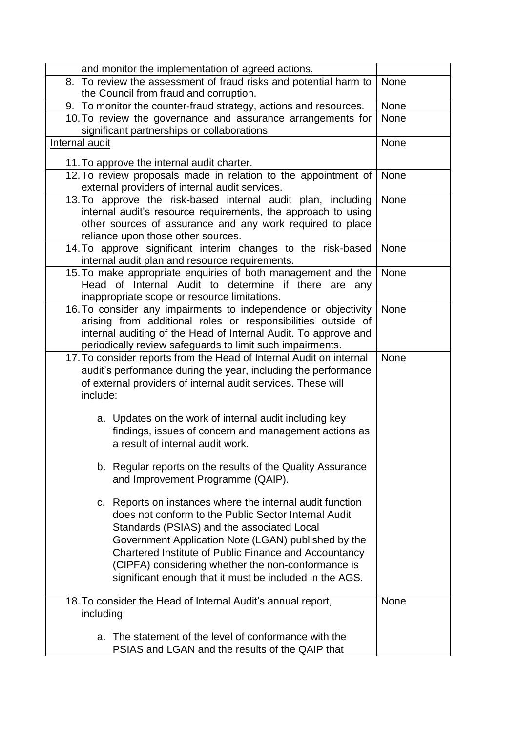| and monitor the implementation of agreed actions.                   |             |
|---------------------------------------------------------------------|-------------|
| 8. To review the assessment of fraud risks and potential harm to    | None        |
| the Council from fraud and corruption.                              |             |
| 9. To monitor the counter-fraud strategy, actions and resources.    | None        |
| 10. To review the governance and assurance arrangements for         | <b>None</b> |
| significant partnerships or collaborations.                         |             |
| Internal audit                                                      | None        |
| 11. To approve the internal audit charter.                          |             |
| 12. To review proposals made in relation to the appointment of      | None        |
| external providers of internal audit services.                      |             |
| 13. To approve the risk-based internal audit plan, including        | None        |
| internal audit's resource requirements, the approach to using       |             |
| other sources of assurance and any work required to place           |             |
| reliance upon those other sources.                                  |             |
| 14. To approve significant interim changes to the risk-based        | None        |
| internal audit plan and resource requirements.                      |             |
| 15. To make appropriate enquiries of both management and the        | None        |
| Head of Internal Audit to determine if there are any                |             |
| inappropriate scope or resource limitations.                        |             |
| 16. To consider any impairments to independence or objectivity      | None        |
| arising from additional roles or responsibilities outside of        |             |
| internal auditing of the Head of Internal Audit. To approve and     |             |
| periodically review safeguards to limit such impairments.           |             |
| 17. To consider reports from the Head of Internal Audit on internal | None        |
| audit's performance during the year, including the performance      |             |
| of external providers of internal audit services. These will        |             |
| include:                                                            |             |
|                                                                     |             |
| a. Updates on the work of internal audit including key              |             |
| findings, issues of concern and management actions as               |             |
| a result of internal audit work.                                    |             |
|                                                                     |             |
| b. Regular reports on the results of the Quality Assurance          |             |
| and Improvement Programme (QAIP).                                   |             |
|                                                                     |             |
| c. Reports on instances where the internal audit function           |             |
| does not conform to the Public Sector Internal Audit                |             |
| Standards (PSIAS) and the associated Local                          |             |
| Government Application Note (LGAN) published by the                 |             |
| Chartered Institute of Public Finance and Accountancy               |             |
| (CIPFA) considering whether the non-conformance is                  |             |
| significant enough that it must be included in the AGS.             |             |
|                                                                     |             |
| 18. To consider the Head of Internal Audit's annual report,         | <b>None</b> |
| including:                                                          |             |
|                                                                     |             |
| The statement of the level of conformance with the<br>а.            |             |
| PSIAS and LGAN and the results of the QAIP that                     |             |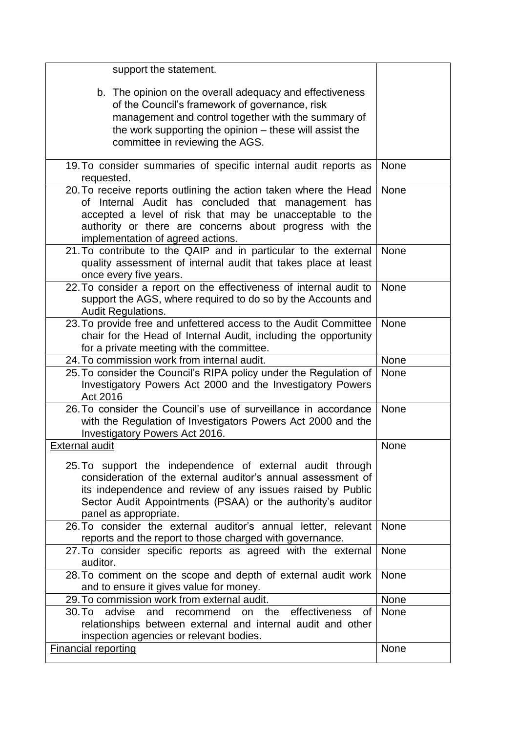| support the statement.                                                                                                                                                                                                                                                              |             |
|-------------------------------------------------------------------------------------------------------------------------------------------------------------------------------------------------------------------------------------------------------------------------------------|-------------|
| b. The opinion on the overall adequacy and effectiveness<br>of the Council's framework of governance, risk<br>management and control together with the summary of                                                                                                                   |             |
| the work supporting the opinion – these will assist the<br>committee in reviewing the AGS.                                                                                                                                                                                          |             |
|                                                                                                                                                                                                                                                                                     |             |
| 19. To consider summaries of specific internal audit reports as<br>requested.                                                                                                                                                                                                       | <b>None</b> |
| 20. To receive reports outlining the action taken where the Head<br>of Internal Audit has concluded that management has<br>accepted a level of risk that may be unacceptable to the<br>authority or there are concerns about progress with the<br>implementation of agreed actions. | None        |
| 21. To contribute to the QAIP and in particular to the external<br>quality assessment of internal audit that takes place at least<br>once every five years.                                                                                                                         | None        |
| 22. To consider a report on the effectiveness of internal audit to<br>support the AGS, where required to do so by the Accounts and<br><b>Audit Regulations.</b>                                                                                                                     | None        |
| 23. To provide free and unfettered access to the Audit Committee<br>chair for the Head of Internal Audit, including the opportunity<br>for a private meeting with the committee.                                                                                                    | None        |
| 24. To commission work from internal audit.                                                                                                                                                                                                                                         | None        |
| 25. To consider the Council's RIPA policy under the Regulation of<br>Investigatory Powers Act 2000 and the Investigatory Powers<br>Act 2016                                                                                                                                         | None        |
| 26. To consider the Council's use of surveillance in accordance<br>with the Regulation of Investigators Powers Act 2000 and the<br>Investigatory Powers Act 2016.                                                                                                                   | None        |
| <b>External audit</b>                                                                                                                                                                                                                                                               | None        |
| 25. To support the independence of external audit through<br>consideration of the external auditor's annual assessment of<br>its independence and review of any issues raised by Public<br>Sector Audit Appointments (PSAA) or the authority's auditor<br>panel as appropriate.     |             |
| 26. To consider the external auditor's annual letter, relevant<br>reports and the report to those charged with governance.                                                                                                                                                          | None        |
| 27. To consider specific reports as agreed with the external<br>auditor.                                                                                                                                                                                                            | None        |
| 28. To comment on the scope and depth of external audit work<br>and to ensure it gives value for money.                                                                                                                                                                             | None        |
| 29. To commission work from external audit.                                                                                                                                                                                                                                         | None        |
| 30. To<br>advise<br>on the effectiveness<br>and<br>recommend<br>0f<br>relationships between external and internal audit and other<br>inspection agencies or relevant bodies.                                                                                                        | None        |
| <b>Financial reporting</b>                                                                                                                                                                                                                                                          | None        |